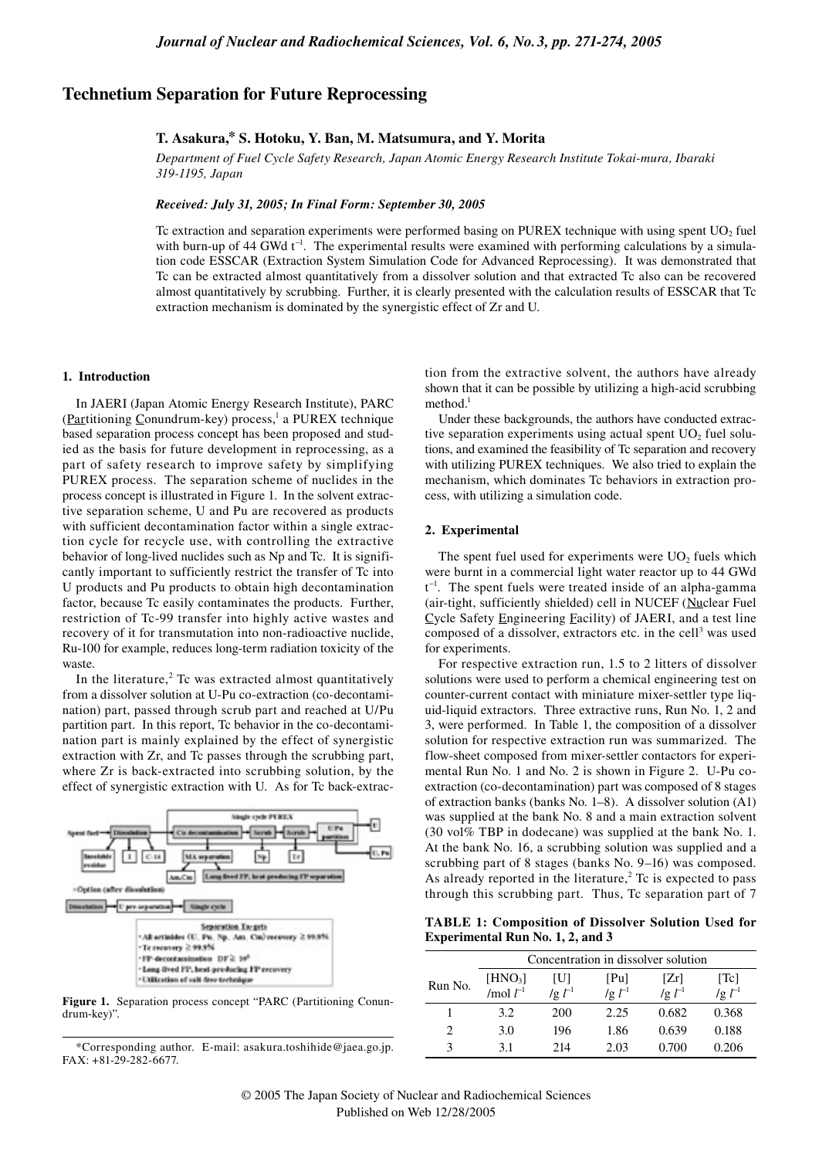# **Technetium Separation for Future Reprocessing**

# **T. Asakura,\* S. Hotoku, Y. Ban, M. Matsumura, and Y. Morita**

*Department of Fuel Cycle Safety Research, Japan Atomic Energy Research Institute Tokai-mura, Ibaraki 319-1195, Japan*

# *Received: July 31, 2005; In Final Form: September 30, 2005*

Tc extraction and separation experiments were performed basing on PUREX technique with using spent  $UO<sub>2</sub>$  fuel with burn-up of 44 GWd t<sup>-1</sup>. The experimental results were examined with performing calculations by a simulation code ESSCAR (Extraction System Simulation Code for Advanced Reprocessing). It was demonstrated that Tc can be extracted almost quantitatively from a dissolver solution and that extracted Tc also can be recovered almost quantitatively by scrubbing. Further, it is clearly presented with the calculation results of ESSCAR that Tc extraction mechanism is dominated by the synergistic effect of Zr and U.

#### **1. Introduction**

In JAERI (Japan Atomic Energy Research Institute), PARC  $(Partitioning Conundrum-key) process<sup>1</sup>$  a PUREX technique based separation process concept has been proposed and studied as the basis for future development in reprocessing, as a part of safety research to improve safety by simplifying PUREX process. The separation scheme of nuclides in the process concept is illustrated in Figure 1. In the solvent extractive separation scheme, U and Pu are recovered as products with sufficient decontamination factor within a single extraction cycle for recycle use, with controlling the extractive behavior of long-lived nuclides such as Np and Tc. It is significantly important to sufficiently restrict the transfer of Tc into U products and Pu products to obtain high decontamination factor, because Tc easily contaminates the products. Further, restriction of Tc-99 transfer into highly active wastes and recovery of it for transmutation into non-radioactive nuclide, Ru-100 for example, reduces long-term radiation toxicity of the waste.

In the literature, $2$  Tc was extracted almost quantitatively from a dissolver solution at U-Pu co-extraction (co-decontamination) part, passed through scrub part and reached at U/Pu partition part. In this report, Tc behavior in the co-decontamination part is mainly explained by the effect of synergistic extraction with Zr, and Tc passes through the scrubbing part, where Zr is back-extracted into scrubbing solution, by the effect of synergistic extraction with U. As for Tc back-extrac-



**Figure 1.** Separation process concept "PARC (Partitioning Conundrum-key)".

\*Corresponding author. E-mail: asakura.toshihide@jaea.go.jp. FAX: +81-29-282-6677.

tion from the extractive solvent, the authors have already shown that it can be possible by utilizing a high-acid scrubbing  $method<sup>1</sup>$ 

Under these backgrounds, the authors have conducted extractive separation experiments using actual spent  $UO<sub>2</sub>$  fuel solutions, and examined the feasibility of Tc separation and recovery with utilizing PUREX techniques. We also tried to explain the mechanism, which dominates Tc behaviors in extraction process, with utilizing a simulation code.

#### **2. Experimental**

The spent fuel used for experiments were  $UO<sub>2</sub>$  fuels which were burnt in a commercial light water reactor up to 44 GWd  $t^{-1}$ . The spent fuels were treated inside of an alpha-gamma (air-tight, sufficiently shielded) cell in NUCEF (Nuclear Fuel Cycle Safety Engineering Facility) of JAERI, and a test line composed of a dissolver, extractors etc. in the cell<sup>3</sup> was used for experiments.

For respective extraction run, 1.5 to 2 litters of dissolver solutions were used to perform a chemical engineering test on counter-current contact with miniature mixer-settler type liquid-liquid extractors. Three extractive runs, Run No. 1, 2 and 3, were performed. In Table 1, the composition of a dissolver solution for respective extraction run was summarized. The flow-sheet composed from mixer-settler contactors for experimental Run No. 1 and No. 2 is shown in Figure 2. U-Pu coextraction (co-decontamination) part was composed of 8 stages of extraction banks (banks No. 1–8). A dissolver solution (A1) was supplied at the bank No. 8 and a main extraction solvent (30 vol% TBP in dodecane) was supplied at the bank No. 1. At the bank No. 16, a scrubbing solution was supplied and a scrubbing part of 8 stages (banks No. 9–16) was composed. As already reported in the literature, $2$  Tc is expected to pass through this scrubbing part. Thus, Tc separation part of 7

**TABLE 1: Composition of Dissolver Solution Used for Experimental Run No. 1, 2, and 3**

|                             | Concentration in dissolver solution     |                    |                      |                      |                                     |  |  |
|-----------------------------|-----------------------------------------|--------------------|----------------------|----------------------|-------------------------------------|--|--|
| Run No.                     | $[HNO_3]$<br>$\frac{1}{2}$ mol $l^{-1}$ | IШ<br>$\lg l^{-1}$ | [Pu]<br>$\lg l^{-1}$ | [Zr]<br>$\lg l^{-1}$ | $\lceil$ Tc $\rceil$<br>/g $l^{-1}$ |  |  |
|                             | 3.2                                     | 200                | 2.25                 | 0.682                | 0.368                               |  |  |
| $\mathcal{D}_{\mathcal{L}}$ | 3.0                                     | 196                | 1.86                 | 0.639                | 0.188                               |  |  |
| 3                           | 3.1                                     | 214                | 2.03                 | 0.700                | 0.206                               |  |  |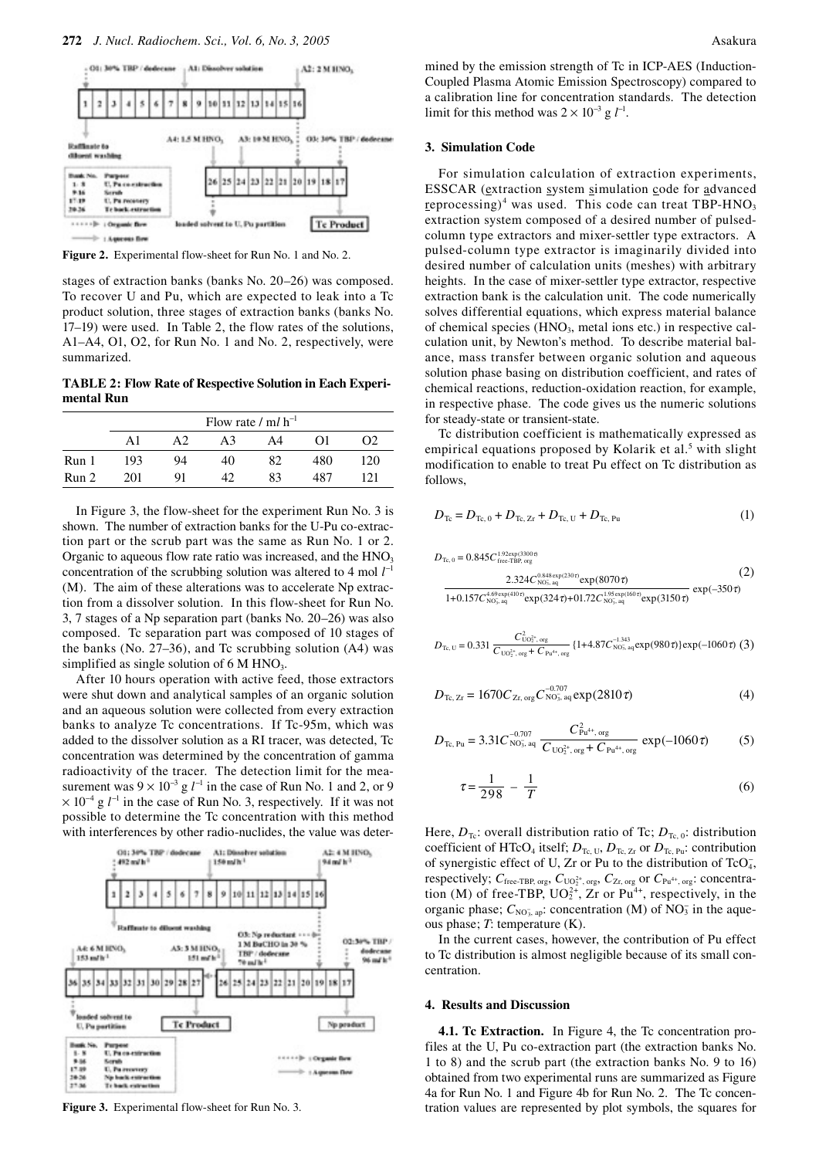

**Figure 2.** Experimental flow-sheet for Run No. 1 and No. 2.

stages of extraction banks (banks No. 20–26) was composed. To recover U and Pu, which are expected to leak into a Tc product solution, three stages of extraction banks (banks No. 17–19) were used. In Table 2, the flow rates of the solutions, A1–A4, O1, O2, for Run No. 1 and No. 2, respectively, were summarized.

**TABLE 2: Flow Rate of Respective Solution in Each Experimental Run** 

|       | Flow rate / $ml \, h^{-1}$ |    |    |    |          |          |  |  |  |
|-------|----------------------------|----|----|----|----------|----------|--|--|--|
|       | A1                         | A2 | A3 | A4 | $\Omega$ | $\Omega$ |  |  |  |
| Run 1 | 193                        | 94 | 40 | 82 | 480      | 120      |  |  |  |
| Run 2 | 201                        | 91 | 42 | 83 | 487      | 121      |  |  |  |

In Figure 3, the flow-sheet for the experiment Run No. 3 is shown. The number of extraction banks for the U-Pu co-extraction part or the scrub part was the same as Run No. 1 or 2. Organic to aqueous flow rate ratio was increased, and the  $HNO<sub>3</sub>$ concentration of the scrubbing solution was altered to 4 mol  $l^{-1}$ (M). The aim of these alterations was to accelerate Np extraction from a dissolver solution. In this flow-sheet for Run No. 3, 7 stages of a Np separation part (banks No. 20–26) was also composed. Tc separation part was composed of 10 stages of the banks (No. 27–36), and Tc scrubbing solution (A4) was simplified as single solution of  $6 \text{ M HNO}_3$ .

After 10 hours operation with active feed, those extractors were shut down and analytical samples of an organic solution and an aqueous solution were collected from every extraction banks to analyze Tc concentrations. If Tc-95m, which was added to the dissolver solution as a RI tracer, was detected, Tc concentration was determined by the concentration of gamma radioactivity of the tracer. The detection limit for the measurement was  $9 \times 10^{-3}$  g  $l^{-1}$  in the case of Run No. 1 and 2, or 9  $\times$  10<sup>-4</sup> g  $l^{-1}$  in the case of Run No. 3, respectively. If it was not possible to determine the Tc concentration with this method with interferences by other radio-nuclides, the value was deter-



**Figure 3.** Experimental flow-sheet for Run No. 3.

mined by the emission strength of Tc in ICP-AES (Induction-Coupled Plasma Atomic Emission Spectroscopy) compared to a calibration line for concentration standards. The detection limit for this method was  $2 \times 10^{-3}$  g  $l^{-1}$ .

# **3. Simulation Code**

For simulation calculation of extraction experiments, ESSCAR (extraction system simulation code for advanced reprocessing)<sup>4</sup> was used. This code can treat TBP-HNO<sub>3</sub> extraction system composed of a desired number of pulsedcolumn type extractors and mixer-settler type extractors. A pulsed-column type extractor is imaginarily divided into desired number of calculation units (meshes) with arbitrary heights. In the case of mixer-settler type extractor, respective extraction bank is the calculation unit. The code numerically solves differential equations, which express material balance of chemical species  $(HNO<sub>3</sub>, metal ions etc.)$  in respective calculation unit, by Newton's method. To describe material balance, mass transfer between organic solution and aqueous solution phase basing on distribution coefficient, and rates of chemical reactions, reduction-oxidation reaction, for example, in respective phase. The code gives us the numeric solutions for steady-state or transient-state.

Tc distribution coefficient is mathematically expressed as empirical equations proposed by Kolarik et al.<sup>5</sup> with slight modification to enable to treat Pu effect on Tc distribution as follows,

$$
D_{\text{Te}} = D_{\text{Te}, 0} + D_{\text{Te}, Zr} + D_{\text{Te}, U} + D_{\text{Te}, Pu}
$$
 (1)

$$
D_{\text{Te}, 0} = 0.845 C_{\text{free-TBP, org}}^{1.92 \text{exp}(3300 \text{ }\theta)} (2)
$$
  
\n
$$
2.324 C_{\text{NO}_{3.}^{\text{}}\text{ag}}^{\text{O}_{3848 \text{exp}(230 \text{ }\tau)}} \exp(8070 \text{ }\tau)
$$
  
\n
$$
\frac{2.324 C_{\text{NO}_{3.}^{\text{}}\text{ag}}^{\text{O}_{3848 \text{exp}(230 \text{ }\tau)}} \exp(8070 \text{ }\tau)}{1 + 0.157 C_{\text{NO}_{3.}^{\text{}}\text{ag}}^{\text{O}_{33.}^{\text{}}\text{ag}} \exp(324 \text{ }\tau) + 01.72 C_{\text{NO}_{3.}^{\text{}}\text{ag}}^{\text{O}_{35.}^{\text{}}\text{exp}(160 \text{ }\tau)} \exp(3150 \text{ }\tau)} \exp(-350 \text{ }\tau)
$$

$$
D_{\text{Te, U}} = 0.331 \frac{C_{\text{UO}_2^{2+}, \text{org}}^2}{C_{\text{UO}_2^{2+}, \text{org}} + C_{\text{Pu}^{4+}, \text{org}}}
$$
 (1+4.87 $C_{\text{NO}_3, \text{ag}}^{\text{1,343}} \exp(980\tau)$ ) exp(-1060 $\tau$ ) (3)

$$
D_{\text{Te, Zr}} = 1670 C_{\text{Zr, org}} C_{\text{NO}_2 \text{, ag}}^{-0.707} \exp(2810 \tau) \tag{4}
$$

$$
D_{\text{Te, Pu}} = 3.31 C_{\text{NO}_3^-, \text{aq}}^{\frac{0.707}{-0.707}} \frac{C_{\text{Pu}^{4+}, \text{org}}^2}{C_{\text{UO}_2^{2+}, \text{org}} + C_{\text{Pu}^{4+}, \text{org}}} \exp(-1060 \tau) \tag{5}
$$

$$
\tau = \frac{1}{298} - \frac{1}{T} \tag{6}
$$

Here,  $D_{\text{Te}}$ : overall distribution ratio of Tc;  $D_{\text{Te}}$  o: distribution coefficient of HTcO<sub>4</sub> itself;  $D_{Tc, U}$ ,  $D_{Tc, Zr}$  or  $D_{Tc, Pu}$ : contribution of synergistic effect of U, Zr or Pu to the distribution of TcO<sub>4</sub>, respectively;  $C_{\text{free-TBP, org}}$ ,  $C_{\text{UO}_2^{2+}$ , org,  $C_{\text{Zr, org}}$  or  $C_{\text{Pu}^{4+}$ , org: concentration (M) of free-TBP,  $UO_2^{2+}$ , Zr or Pu<sup>4+</sup>, respectively, in the organic phase;  $C_{NO_3^T, ap}$ : concentration (M) of NO<sub>3</sub> in the aqueous phase; *T*: temperature (K).

In the current cases, however, the contribution of Pu effect to Tc distribution is almost negligible because of its small concentration.

# **4. Results and Discussion**

**4.1. Tc Extraction.** In Figure 4, the Tc concentration profiles at the U, Pu co-extraction part (the extraction banks No. 1 to 8) and the scrub part (the extraction banks No. 9 to 16) obtained from two experimental runs are summarized as Figure 4a for Run No. 1 and Figure 4b for Run No. 2. The Tc concentration values are represented by plot symbols, the squares for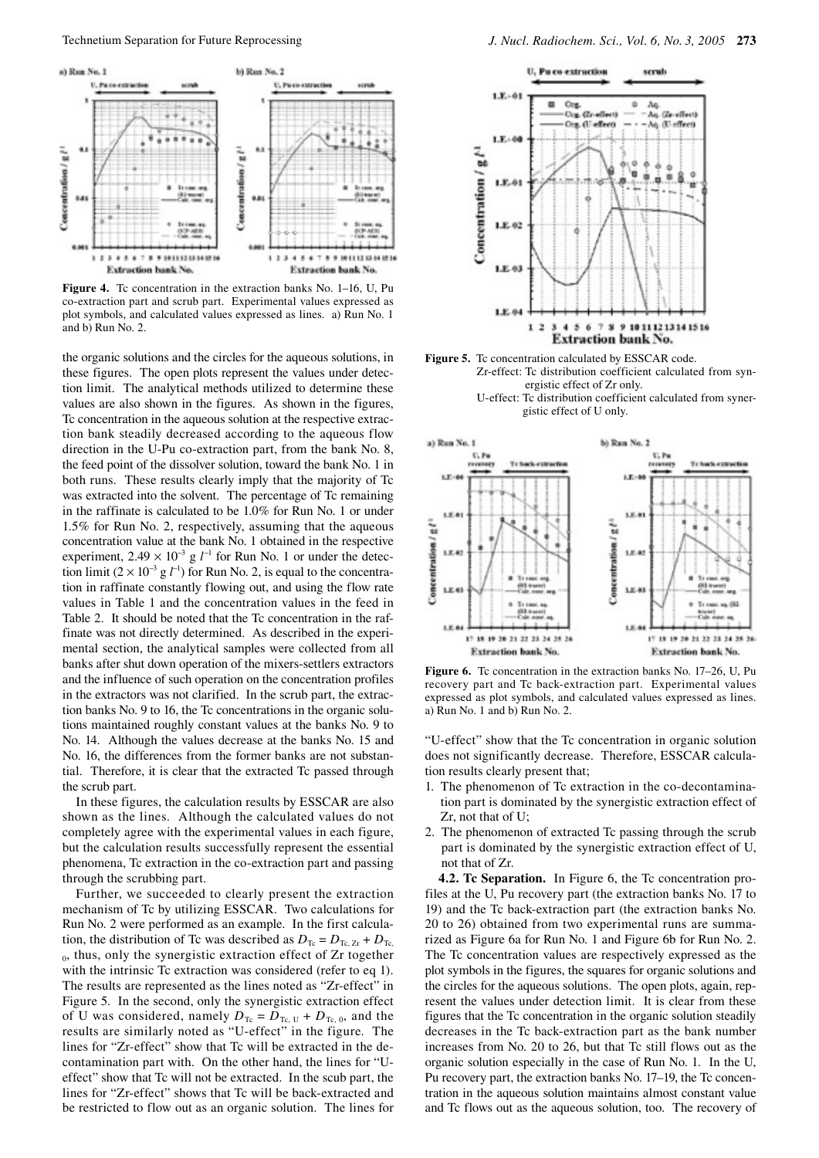

Figure 4. To concentration in the extraction banks No. 1–16, U, Pu co-extraction part and scrub part. Experimental values expressed as plot symbols, and calculated values expressed as lines. a) Run No. 1 and b) Run No. 2.

the organic solutions and the circles for the aqueous solutions, in these figures. The open plots represent the values under detection limit. The analytical methods utilized to determine these values are also shown in the figures. As shown in the figures, Tc concentration in the aqueous solution at the respective extraction bank steadily decreased according to the aqueous flow direction in the U-Pu co-extraction part, from the bank No. 8, the feed point of the dissolver solution, toward the bank No. 1 in both runs. These results clearly imply that the majority of Tc was extracted into the solvent. The percentage of Tc remaining in the raffinate is calculated to be 1.0% for Run No. 1 or under 1.5% for Run No. 2, respectively, assuming that the aqueous concentration value at the bank No. 1 obtained in the respective experiment,  $2.49 \times 10^{-3}$  g  $l^{-1}$  for Run No. 1 or under the detection limit  $(2 \times 10^{-3} \text{ g } l^{-1})$  for Run No. 2, is equal to the concentration in raffinate constantly flowing out, and using the flow rate values in Table 1 and the concentration values in the feed in Table 2. It should be noted that the Tc concentration in the raffinate was not directly determined. As described in the experimental section, the analytical samples were collected from all banks after shut down operation of the mixers-settlers extractors and the influence of such operation on the concentration profiles in the extractors was not clarified. In the scrub part, the extraction banks No. 9 to 16, the Tc concentrations in the organic solutions maintained roughly constant values at the banks No. 9 to No. 14. Although the values decrease at the banks No. 15 and No. 16, the differences from the former banks are not substantial. Therefore, it is clear that the extracted Tc passed through the scrub part.

In these figures, the calculation results by ESSCAR are also shown as the lines. Although the calculated values do not completely agree with the experimental values in each figure, but the calculation results successfully represent the essential phenomena, Tc extraction in the co-extraction part and passing through the scrubbing part.

Further, we succeeded to clearly present the extraction mechanism of Tc by utilizing ESSCAR. Two calculations for Run No. 2 were performed as an example. In the first calculation, the distribution of Tc was described as  $D_{\text{Te}} = D_{\text{Te, Zr}} + D_{\text{Te, Zr}}$ 0, thus, only the synergistic extraction effect of Zr together with the intrinsic Tc extraction was considered (refer to eq 1). The results are represented as the lines noted as "Zr-effect" in Figure 5. In the second, only the synergistic extraction effect of U was considered, namely  $D_{Tc} = D_{Tc, U} + D_{Tc, 0}$ , and the results are similarly noted as "U-effect" in the figure. The lines for "Zr-effect" show that Tc will be extracted in the decontamination part with. On the other hand, the lines for "Ueffect" show that Tc will not be extracted. In the scub part, the lines for "Zr-effect" shows that Tc will be back-extracted and be restricted to flow out as an organic solution. The lines for







**Figure 6.** To concentration in the extraction banks No. 17–26, U, Pu recovery part and Tc back-extraction part. Experimental values expressed as plot symbols, and calculated values expressed as lines. a) Run No. 1 and b) Run No. 2.

"U-effect" show that the Tc concentration in organic solution does not significantly decrease. Therefore, ESSCAR calculation results clearly present that;

- 1. The phenomenon of Tc extraction in the co-decontamination part is dominated by the synergistic extraction effect of Zr, not that of U;
- 2. The phenomenon of extracted Tc passing through the scrub part is dominated by the synergistic extraction effect of U, not that of Zr.

**4.2. Tc Separation.** In Figure 6, the Tc concentration profiles at the U, Pu recovery part (the extraction banks No. 17 to 19) and the Tc back-extraction part (the extraction banks No. 20 to 26) obtained from two experimental runs are summarized as Figure 6a for Run No. 1 and Figure 6b for Run No. 2. The Tc concentration values are respectively expressed as the plot symbols in the figures, the squares for organic solutions and the circles for the aqueous solutions. The open plots, again, represent the values under detection limit. It is clear from these figures that the Tc concentration in the organic solution steadily decreases in the Tc back-extraction part as the bank number increases from No. 20 to 26, but that Tc still flows out as the organic solution especially in the case of Run No. 1. In the U, Pu recovery part, the extraction banks No. 17–19, the Tc concentration in the aqueous solution maintains almost constant value and Tc flows out as the aqueous solution, too. The recovery of